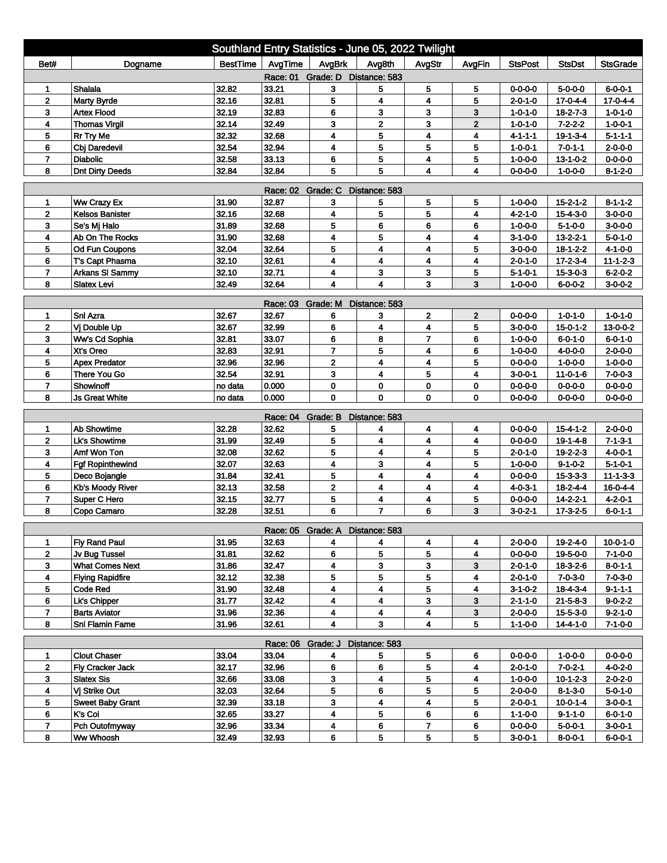| AvgTime<br>AvgBrk<br>Avg8th<br><b>BestTime</b><br><b>StsPost</b><br>Bet#<br>AvgStr<br>AvgFin<br><b>StsDst</b><br><b>StsGrade</b><br>Dogname<br>Race: 01 Grade: D Distance: 583<br>5<br>Shalala<br>32.82<br>33.21<br>3<br>5<br>$6 - 0 - 0 - 1$<br>1<br>5<br>$0 - 0 - 0 - 0$<br>$5 - 0 - 0 - 0$<br>32.16<br>5<br>4<br>4<br>5<br>$17 - 0 - 4 - 4$<br>$\mathbf 2$<br><b>Marty Byrde</b><br>32.81<br>$17 - 0 - 4 - 4$<br>2-0-1-0<br>3<br>32.19<br>32.83<br>6<br>3<br>3<br>3<br><b>Artex Flood</b><br>$1 - 0 - 1 - 0$<br>$18 - 2 - 7 - 3$<br>$1 - 0 - 1 - 0$<br>3<br>32.14<br>32.49<br>2<br>3<br>$\mathbf{2}$<br>4<br><b>Thomas Virgil</b><br>$7 - 2 - 2 - 2$<br>$1 - 0 - 0 - 1$<br>1-0-1-0<br>5<br>32.32<br>4<br>4<br>5<br>32.68<br>4<br><b>Rr Try Me</b><br>$19 - 1 - 3 - 4$<br>$5 - 1 - 1 - 1$<br>4-1-1-1<br>5<br>5<br>4<br>5<br>6<br>32.54<br>32.94<br>$7 - 0 - 1 - 1$<br>$2 - 0 - 0 - 0$<br><b>Cbi Daredevil</b><br>$1 - 0 - 0 - 1$<br>5<br>$0 - 0 - 0 - 0$<br>$\overline{7}$<br><b>Diabolic</b><br>32.58<br>33.13<br>6<br>4<br>5<br>$1 - 0 - 0 - 0$<br>$13 - 1 - 0 - 2$<br>32.84<br>32.84<br>5<br>5<br>8<br><b>Dnt Dirty Deeds</b><br>4<br>4<br>$0 - 0 - 0 - 0$<br>$1 - 0 - 0 - 0$<br>$8 - 1 - 2 - 0$<br>Race: 02 Grade: C<br>Distance: 583<br>31.90<br>Ww Crazy Ex<br>32.87<br>5<br>5<br>$1 - 0 - 0 - 0$<br>$15 - 2 - 1 - 2$<br>$8 - 1 - 1 - 2$<br>3<br>5<br>1<br>5<br>32.16<br>5<br>$\mathbf{2}$<br>4<br>4<br>32.68<br>$3 - 0 - 0 - 0$<br><b>Kelsos Banister</b><br>$4 - 2 - 1 - 0$<br>$15 - 4 - 3 - 0$<br>5<br>6<br>6<br>6<br>3<br>31.89<br>32.68<br>$3-0-0-0$<br>Se's Mj Halo<br>$1 - 0 - 0 - 0$<br>$5 - 1 - 0 - 0$<br>5<br>31.90<br>32.68<br>4<br>4<br>4<br>$13 - 2 - 2 - 1$<br>$5 - 0 - 1 - 0$<br>4<br>Ab On The Rocks<br>$3-1-0-0$<br>32.04<br>32.64<br>5<br>4<br>4<br>5<br>$4 - 1 - 0 - 0$<br>5<br><b>Od Fun Coupons</b><br>$3 - 0 - 0 - 0$<br>$18 - 1 - 2 - 2$<br>4<br>6<br>T's Capt Phasma<br>32.10<br>32.61<br>4<br>4<br>17-2-3-4<br>4<br>$2 - 0 - 1 - 0$<br>$11 - 1 - 2 - 3$<br>32.10<br>3<br>$\overline{7}$<br>32.71<br>4<br>3<br>5<br>$6 - 2 - 0 - 2$<br><b>Arkans SI Sammy</b><br>15-3-0-3<br>$5 - 1 - 0 - 1$<br>$\overline{\mathbf{4}}$<br>4<br>3<br>3<br>8<br>32.49<br>32.64<br>$1 - 0 - 0 - 0$<br>$6 - 0 - 0 - 2$<br>$3-0-0-2$<br><b>Slatex Levi</b><br>Race: 03 Grade: M<br>Distance: 583<br>Snl Azra<br>32.67<br>32.67<br>2<br>$\mathbf 2$<br>$0 - 0 - 0 - 0$<br>$1 - 0 - 1 - 0$<br>$1 - 0 - 1 - 0$<br>6<br>3<br>1<br>32.67<br>5<br>13-0-0-2<br>$\mathbf 2$<br>Vi Double Up<br>32.99<br>6<br>4<br>4<br>$3-0-0-0$<br>$15 - 0 - 1 - 2$<br>6<br>8<br>$\overline{7}$<br>3<br>Ww's Cd Sophia<br>32.81<br>33.07<br>6<br>$6 - 0 - 1 - 0$<br>$1 - 0 - 0 - 0$<br>$6 - 0 - 1 - 0$<br>32.83<br>32.91<br>$\overline{7}$<br>5<br>4<br>6<br>$4 - 0 - 0 - 0$<br>$2 - 0 - 0 - 0$<br>4<br>Xt's Oreo<br>$1 - 0 - 0 - 0$<br>$\mathbf 2$<br>5<br>32.96<br>32.96<br>4<br>4<br>5<br>$1 - 0 - 0 - 0$<br>$1 - 0 - 0 - 0$<br><b>Apex Predator</b><br>$0 - 0 - 0 - 0$<br>32.54<br>3<br>5<br>$7 - 0 - 0 - 3$<br>There You Go<br>32.91<br>4<br>4<br>$3 - 0 - 0 - 1$<br>$11 - 0 - 1 - 6$<br>6<br>Showinoff<br>0.000<br>0<br>0<br>$0 - 0 - 0 - 0$<br>7<br>no data<br>0<br>0<br>$0 - 0 - 0 - 0$<br>$0 - 0 - 0 - 0$<br>$\mathbf 0$<br>0<br>8<br>0.000<br>0<br>$\mathbf 0$<br><b>Js Great White</b><br>$0 - 0 - 0 - 0$<br>$0 - 0 - 0 - 0$<br>$0 - 0 - 0 - 0$<br>no data<br>Grade: B<br>Distance: 583<br>Race: 04<br><b>Ab Showtime</b><br>32.28<br>32.62<br>5<br>4<br>1<br>4<br>4<br>$0 - 0 - 0 - 0$<br>$15 - 4 - 1 - 2$<br>$2 - 0 - 0 - 0$<br>31.99<br>5<br>4<br>4<br>$\mathbf{2}$<br><b>Lk's Showtime</b><br>32.49<br>4<br>$0 - 0 - 0 - 0$<br>$7 - 1 - 3 - 1$<br>$19-1-4-8$<br>3<br>Amf Won Ton<br>32.08<br>32.62<br>5<br>4<br>5<br>$4 - 0 - 0 - 1$<br>4<br>$2 - 0 - 1 - 0$<br>$19 - 2 - 2 - 3$<br>4<br>3<br>5<br>4<br><b>Fgf Ropinthewind</b><br>32.07<br>32.63<br>4<br>$1 - 0 - 0 - 0$<br>$9 - 1 - 0 - 2$<br>$5 - 1 - 0 - 1$<br>5<br>$\overline{\mathbf{4}}$<br>31.84<br>4<br>5<br>32.41<br>4<br>Deco Bojangle<br>$0 - 0 - 0 - 0$<br>$15 - 3 - 3 - 3$<br>$11 - 1 - 3 - 3$<br>$\mathbf 2$<br>4<br>32.13<br>32.58<br>4<br>4<br>$16 - 0 - 4 - 4$<br>6<br>Kb's Moody River<br>$4 - 0 - 3 - 1$<br>$18 - 2 - 4 - 4$<br>4<br>$\overline{7}$<br>Super C Hero<br>32.15<br>32.77<br>5<br>4<br>5<br>$0 - 0 - 0 - 0$<br>$14 - 2 - 2 - 1$<br>$4 - 2 - 0 - 1$<br>8<br>Copo Camaro<br>32.28<br>32.51<br>6<br>$\overline{7}$<br>6<br>3<br>$3 - 0 - 2 - 1$<br>$17-3-2-5$<br>$6 - 0 - 1 - 1$<br>Race: 05 Grade: A Distance: 583<br>31.95<br>32.63<br><b>Fly Rand Paul</b><br>4<br>2-0-0-0<br>19-2-4-0<br>$10 - 0 - 1 - 0$<br>1<br>4<br>4<br>4<br>5<br>5<br>$\mathbf{2}$<br>32.62<br>6<br>31.81<br>Jv Bug Tussel<br>4<br>$0 - 0 - 0 - 0$<br>19-5-0-0<br>$7 - 1 - 0 - 0$<br>4<br>3<br>3<br>3<br>31.86<br>3<br><b>What Comes Next</b><br>32.47<br>$2 - 0 - 1 - 0$<br>$8 - 0 - 1 - 1$<br>18-3-2-6<br>5<br>32.12<br>5<br>5<br>4<br>4<br><b>Flying Rapidfire</b><br>32.38<br>$2 - 0 - 1 - 0$<br>$7 - 0 - 3 - 0$<br>$7 - 0 - 3 - 0$<br><b>Code Red</b><br>4<br>4<br>5<br>5<br>31.90<br>32.48<br>4<br>$3-1-0-2$<br>$18 - 4 - 3 - 4$<br>$9 - 1 - 1 - 1$<br>4<br>31.77<br>32.42<br>4<br>3<br>6<br>Lk's Chipper<br>3<br>$21 - 5 - 8 - 3$<br>$9 - 0 - 2 - 2$<br>2-1-1-0<br>31.96<br>$\overline{7}$<br>32.36<br>4<br>4<br>4<br>3<br><b>Barts Aviator</b><br>$2 - 0 - 0 - 0$<br>15-5-3-0<br>$9 - 2 - 1 - 0$<br>3<br>5<br>8<br>32.61<br>4<br>4<br>Snl Flamin Fame<br>31.96<br>$1 - 1 - 0 - 0$<br>$14 - 4 - 1 - 0$<br>$7 - 1 - 0 - 0$<br>Race: 06 Grade: J<br>Distance: 583<br><b>Clout Chaser</b><br>33.04<br>$0 - 0 - 0 - 0$<br>33.04<br>4<br>5<br>5<br>6<br>$0 - 0 - 0 - 0$<br>$1 - 0 - 0 - 0$<br>1<br>32.17<br>5<br>2<br>Fly Cracker Jack<br>32.96<br>6<br>6<br>$7 - 0 - 2 - 1$<br>$4 - 0 - 2 - 0$<br>4<br>$2 - 0 - 1 - 0$<br>4<br>3 <sup>2</sup><br>32.66<br>33.08<br>3<br>5<br><b>Slatex Sis</b><br>4<br>$1 - 0 - 0 - 0$<br>$10 - 1 - 2 - 3$<br>$2 - 0 - 2 - 0$<br>5<br>32.03<br>32.64<br>6<br>5<br>Vj Strike Out<br>5<br>4<br>$2 - 0 - 0 - 0$<br>$8 - 1 - 3 - 0$<br>$5 - 0 - 1 - 0$<br>4<br>5<br>3<br>4<br>5<br>32.39<br>33.18<br>$2 - 0 - 0 - 1$<br>$3 - 0 - 0 - 1$<br><b>Sweet Baby Grant</b><br>$10 - 0 - 1 - 4$<br>5<br><b>K's Coi</b><br>32.65<br>33.27<br>4<br>6<br>6<br>6<br>$1 - 1 - 0 - 0$<br>$9 - 1 - 1 - 0$<br>$6 - 0 - 1 - 0$<br>Pch Outofmyway<br>6<br>7<br>32.96<br>33.34<br>4<br>7.<br>6<br>$0 - 0 - 0 - 0$<br>$5 - 0 - 0 - 1$<br>$3 - 0 - 0 - 1$<br>5<br>8<br>32.49<br>6<br>5<br>5<br>Ww Whoosh<br>32.93<br>$3 - 0 - 0 - 1$<br>$8 - 0 - 0 - 1$<br>$6 - 0 - 0 - 1$ | Southland Entry Statistics - June 05, 2022 Twilight |  |  |  |  |  |  |  |  |  |  |  |
|-----------------------------------------------------------------------------------------------------------------------------------------------------------------------------------------------------------------------------------------------------------------------------------------------------------------------------------------------------------------------------------------------------------------------------------------------------------------------------------------------------------------------------------------------------------------------------------------------------------------------------------------------------------------------------------------------------------------------------------------------------------------------------------------------------------------------------------------------------------------------------------------------------------------------------------------------------------------------------------------------------------------------------------------------------------------------------------------------------------------------------------------------------------------------------------------------------------------------------------------------------------------------------------------------------------------------------------------------------------------------------------------------------------------------------------------------------------------------------------------------------------------------------------------------------------------------------------------------------------------------------------------------------------------------------------------------------------------------------------------------------------------------------------------------------------------------------------------------------------------------------------------------------------------------------------------------------------------------------------------------------------------------------------------------------------------------------------------------------------------------------------------------------------------------------------------------------------------------------------------------------------------------------------------------------------------------------------------------------------------------------------------------------------------------------------------------------------------------------------------------------------------------------------------------------------------------------------------------------------------------------------------------------------------------------------------------------------------------------------------------------------------------------------------------------------------------------------------------------------------------------------------------------------------------------------------------------------------------------------------------------------------------------------------------------------------------------------------------------------------------------------------------------------------------------------------------------------------------------------------------------------------------------------------------------------------------------------------------------------------------------------------------------------------------------------------------------------------------------------------------------------------------------------------------------------------------------------------------------------------------------------------------------------------------------------------------------------------------------------------------------------------------------------------------------------------------------------------------------------------------------------------------------------------------------------------------------------------------------------------------------------------------------------------------------------------------------------------------------------------------------------------------------------------------------------------------------------------------------------------------------------------------------------------------------------------------------------------------------------------------------------------------------------------------------------------------------------------------------------------------------------------------------------------------------------------------------------------------------------------------------------------------------------------------------------------------------------------------------------------------------------------------------------------------------------------------------------------------------------------------------------------------------------------------------------------------------------------------------------------------------------------------------------------------------------------------------------------------------------------------------------------------------------------------------------------------------------------------------------------------------------------------------------------------------------------------------------------------------------------------------------------------------------------------------------------------------------------------------------------------------------------------------------------------------------------------------------------------------------------------------------------------------------------------------------------------------------------------------------------------------------------------------------------------------------------------------------------------------------------------------------------------------------------------------------------------------------------------------------------------------------------------------------------------------------------------------------------------------------------------------------------------------------------------------------------------------------------------------------------------------------------------------------------------------------------------------------------------------------------------------------------------------------------------------------------------------------------------------------------------------------------------------------------------|-----------------------------------------------------|--|--|--|--|--|--|--|--|--|--|--|
|                                                                                                                                                                                                                                                                                                                                                                                                                                                                                                                                                                                                                                                                                                                                                                                                                                                                                                                                                                                                                                                                                                                                                                                                                                                                                                                                                                                                                                                                                                                                                                                                                                                                                                                                                                                                                                                                                                                                                                                                                                                                                                                                                                                                                                                                                                                                                                                                                                                                                                                                                                                                                                                                                                                                                                                                                                                                                                                                                                                                                                                                                                                                                                                                                                                                                                                                                                                                                                                                                                                                                                                                                                                                                                                                                                                                                                                                                                                                                                                                                                                                                                                                                                                                                                                                                                                                                                                                                                                                                                                                                                                                                                                                                                                                                                                                                                                                                                                                                                                                                                                                                                                                                                                                                                                                                                                                                                                                                                                                                                                                                                                                                                                                                                                                                                                                                                                                                                                                                                                                                                                                                                                                                                                                                                                                                                                                                                                                                                                                                                                                               |                                                     |  |  |  |  |  |  |  |  |  |  |  |
|                                                                                                                                                                                                                                                                                                                                                                                                                                                                                                                                                                                                                                                                                                                                                                                                                                                                                                                                                                                                                                                                                                                                                                                                                                                                                                                                                                                                                                                                                                                                                                                                                                                                                                                                                                                                                                                                                                                                                                                                                                                                                                                                                                                                                                                                                                                                                                                                                                                                                                                                                                                                                                                                                                                                                                                                                                                                                                                                                                                                                                                                                                                                                                                                                                                                                                                                                                                                                                                                                                                                                                                                                                                                                                                                                                                                                                                                                                                                                                                                                                                                                                                                                                                                                                                                                                                                                                                                                                                                                                                                                                                                                                                                                                                                                                                                                                                                                                                                                                                                                                                                                                                                                                                                                                                                                                                                                                                                                                                                                                                                                                                                                                                                                                                                                                                                                                                                                                                                                                                                                                                                                                                                                                                                                                                                                                                                                                                                                                                                                                                                               |                                                     |  |  |  |  |  |  |  |  |  |  |  |
|                                                                                                                                                                                                                                                                                                                                                                                                                                                                                                                                                                                                                                                                                                                                                                                                                                                                                                                                                                                                                                                                                                                                                                                                                                                                                                                                                                                                                                                                                                                                                                                                                                                                                                                                                                                                                                                                                                                                                                                                                                                                                                                                                                                                                                                                                                                                                                                                                                                                                                                                                                                                                                                                                                                                                                                                                                                                                                                                                                                                                                                                                                                                                                                                                                                                                                                                                                                                                                                                                                                                                                                                                                                                                                                                                                                                                                                                                                                                                                                                                                                                                                                                                                                                                                                                                                                                                                                                                                                                                                                                                                                                                                                                                                                                                                                                                                                                                                                                                                                                                                                                                                                                                                                                                                                                                                                                                                                                                                                                                                                                                                                                                                                                                                                                                                                                                                                                                                                                                                                                                                                                                                                                                                                                                                                                                                                                                                                                                                                                                                                                               |                                                     |  |  |  |  |  |  |  |  |  |  |  |
|                                                                                                                                                                                                                                                                                                                                                                                                                                                                                                                                                                                                                                                                                                                                                                                                                                                                                                                                                                                                                                                                                                                                                                                                                                                                                                                                                                                                                                                                                                                                                                                                                                                                                                                                                                                                                                                                                                                                                                                                                                                                                                                                                                                                                                                                                                                                                                                                                                                                                                                                                                                                                                                                                                                                                                                                                                                                                                                                                                                                                                                                                                                                                                                                                                                                                                                                                                                                                                                                                                                                                                                                                                                                                                                                                                                                                                                                                                                                                                                                                                                                                                                                                                                                                                                                                                                                                                                                                                                                                                                                                                                                                                                                                                                                                                                                                                                                                                                                                                                                                                                                                                                                                                                                                                                                                                                                                                                                                                                                                                                                                                                                                                                                                                                                                                                                                                                                                                                                                                                                                                                                                                                                                                                                                                                                                                                                                                                                                                                                                                                                               |                                                     |  |  |  |  |  |  |  |  |  |  |  |
|                                                                                                                                                                                                                                                                                                                                                                                                                                                                                                                                                                                                                                                                                                                                                                                                                                                                                                                                                                                                                                                                                                                                                                                                                                                                                                                                                                                                                                                                                                                                                                                                                                                                                                                                                                                                                                                                                                                                                                                                                                                                                                                                                                                                                                                                                                                                                                                                                                                                                                                                                                                                                                                                                                                                                                                                                                                                                                                                                                                                                                                                                                                                                                                                                                                                                                                                                                                                                                                                                                                                                                                                                                                                                                                                                                                                                                                                                                                                                                                                                                                                                                                                                                                                                                                                                                                                                                                                                                                                                                                                                                                                                                                                                                                                                                                                                                                                                                                                                                                                                                                                                                                                                                                                                                                                                                                                                                                                                                                                                                                                                                                                                                                                                                                                                                                                                                                                                                                                                                                                                                                                                                                                                                                                                                                                                                                                                                                                                                                                                                                                               |                                                     |  |  |  |  |  |  |  |  |  |  |  |
|                                                                                                                                                                                                                                                                                                                                                                                                                                                                                                                                                                                                                                                                                                                                                                                                                                                                                                                                                                                                                                                                                                                                                                                                                                                                                                                                                                                                                                                                                                                                                                                                                                                                                                                                                                                                                                                                                                                                                                                                                                                                                                                                                                                                                                                                                                                                                                                                                                                                                                                                                                                                                                                                                                                                                                                                                                                                                                                                                                                                                                                                                                                                                                                                                                                                                                                                                                                                                                                                                                                                                                                                                                                                                                                                                                                                                                                                                                                                                                                                                                                                                                                                                                                                                                                                                                                                                                                                                                                                                                                                                                                                                                                                                                                                                                                                                                                                                                                                                                                                                                                                                                                                                                                                                                                                                                                                                                                                                                                                                                                                                                                                                                                                                                                                                                                                                                                                                                                                                                                                                                                                                                                                                                                                                                                                                                                                                                                                                                                                                                                                               |                                                     |  |  |  |  |  |  |  |  |  |  |  |
|                                                                                                                                                                                                                                                                                                                                                                                                                                                                                                                                                                                                                                                                                                                                                                                                                                                                                                                                                                                                                                                                                                                                                                                                                                                                                                                                                                                                                                                                                                                                                                                                                                                                                                                                                                                                                                                                                                                                                                                                                                                                                                                                                                                                                                                                                                                                                                                                                                                                                                                                                                                                                                                                                                                                                                                                                                                                                                                                                                                                                                                                                                                                                                                                                                                                                                                                                                                                                                                                                                                                                                                                                                                                                                                                                                                                                                                                                                                                                                                                                                                                                                                                                                                                                                                                                                                                                                                                                                                                                                                                                                                                                                                                                                                                                                                                                                                                                                                                                                                                                                                                                                                                                                                                                                                                                                                                                                                                                                                                                                                                                                                                                                                                                                                                                                                                                                                                                                                                                                                                                                                                                                                                                                                                                                                                                                                                                                                                                                                                                                                                               |                                                     |  |  |  |  |  |  |  |  |  |  |  |
|                                                                                                                                                                                                                                                                                                                                                                                                                                                                                                                                                                                                                                                                                                                                                                                                                                                                                                                                                                                                                                                                                                                                                                                                                                                                                                                                                                                                                                                                                                                                                                                                                                                                                                                                                                                                                                                                                                                                                                                                                                                                                                                                                                                                                                                                                                                                                                                                                                                                                                                                                                                                                                                                                                                                                                                                                                                                                                                                                                                                                                                                                                                                                                                                                                                                                                                                                                                                                                                                                                                                                                                                                                                                                                                                                                                                                                                                                                                                                                                                                                                                                                                                                                                                                                                                                                                                                                                                                                                                                                                                                                                                                                                                                                                                                                                                                                                                                                                                                                                                                                                                                                                                                                                                                                                                                                                                                                                                                                                                                                                                                                                                                                                                                                                                                                                                                                                                                                                                                                                                                                                                                                                                                                                                                                                                                                                                                                                                                                                                                                                                               |                                                     |  |  |  |  |  |  |  |  |  |  |  |
|                                                                                                                                                                                                                                                                                                                                                                                                                                                                                                                                                                                                                                                                                                                                                                                                                                                                                                                                                                                                                                                                                                                                                                                                                                                                                                                                                                                                                                                                                                                                                                                                                                                                                                                                                                                                                                                                                                                                                                                                                                                                                                                                                                                                                                                                                                                                                                                                                                                                                                                                                                                                                                                                                                                                                                                                                                                                                                                                                                                                                                                                                                                                                                                                                                                                                                                                                                                                                                                                                                                                                                                                                                                                                                                                                                                                                                                                                                                                                                                                                                                                                                                                                                                                                                                                                                                                                                                                                                                                                                                                                                                                                                                                                                                                                                                                                                                                                                                                                                                                                                                                                                                                                                                                                                                                                                                                                                                                                                                                                                                                                                                                                                                                                                                                                                                                                                                                                                                                                                                                                                                                                                                                                                                                                                                                                                                                                                                                                                                                                                                                               |                                                     |  |  |  |  |  |  |  |  |  |  |  |
|                                                                                                                                                                                                                                                                                                                                                                                                                                                                                                                                                                                                                                                                                                                                                                                                                                                                                                                                                                                                                                                                                                                                                                                                                                                                                                                                                                                                                                                                                                                                                                                                                                                                                                                                                                                                                                                                                                                                                                                                                                                                                                                                                                                                                                                                                                                                                                                                                                                                                                                                                                                                                                                                                                                                                                                                                                                                                                                                                                                                                                                                                                                                                                                                                                                                                                                                                                                                                                                                                                                                                                                                                                                                                                                                                                                                                                                                                                                                                                                                                                                                                                                                                                                                                                                                                                                                                                                                                                                                                                                                                                                                                                                                                                                                                                                                                                                                                                                                                                                                                                                                                                                                                                                                                                                                                                                                                                                                                                                                                                                                                                                                                                                                                                                                                                                                                                                                                                                                                                                                                                                                                                                                                                                                                                                                                                                                                                                                                                                                                                                                               |                                                     |  |  |  |  |  |  |  |  |  |  |  |
|                                                                                                                                                                                                                                                                                                                                                                                                                                                                                                                                                                                                                                                                                                                                                                                                                                                                                                                                                                                                                                                                                                                                                                                                                                                                                                                                                                                                                                                                                                                                                                                                                                                                                                                                                                                                                                                                                                                                                                                                                                                                                                                                                                                                                                                                                                                                                                                                                                                                                                                                                                                                                                                                                                                                                                                                                                                                                                                                                                                                                                                                                                                                                                                                                                                                                                                                                                                                                                                                                                                                                                                                                                                                                                                                                                                                                                                                                                                                                                                                                                                                                                                                                                                                                                                                                                                                                                                                                                                                                                                                                                                                                                                                                                                                                                                                                                                                                                                                                                                                                                                                                                                                                                                                                                                                                                                                                                                                                                                                                                                                                                                                                                                                                                                                                                                                                                                                                                                                                                                                                                                                                                                                                                                                                                                                                                                                                                                                                                                                                                                                               |                                                     |  |  |  |  |  |  |  |  |  |  |  |
|                                                                                                                                                                                                                                                                                                                                                                                                                                                                                                                                                                                                                                                                                                                                                                                                                                                                                                                                                                                                                                                                                                                                                                                                                                                                                                                                                                                                                                                                                                                                                                                                                                                                                                                                                                                                                                                                                                                                                                                                                                                                                                                                                                                                                                                                                                                                                                                                                                                                                                                                                                                                                                                                                                                                                                                                                                                                                                                                                                                                                                                                                                                                                                                                                                                                                                                                                                                                                                                                                                                                                                                                                                                                                                                                                                                                                                                                                                                                                                                                                                                                                                                                                                                                                                                                                                                                                                                                                                                                                                                                                                                                                                                                                                                                                                                                                                                                                                                                                                                                                                                                                                                                                                                                                                                                                                                                                                                                                                                                                                                                                                                                                                                                                                                                                                                                                                                                                                                                                                                                                                                                                                                                                                                                                                                                                                                                                                                                                                                                                                                                               |                                                     |  |  |  |  |  |  |  |  |  |  |  |
|                                                                                                                                                                                                                                                                                                                                                                                                                                                                                                                                                                                                                                                                                                                                                                                                                                                                                                                                                                                                                                                                                                                                                                                                                                                                                                                                                                                                                                                                                                                                                                                                                                                                                                                                                                                                                                                                                                                                                                                                                                                                                                                                                                                                                                                                                                                                                                                                                                                                                                                                                                                                                                                                                                                                                                                                                                                                                                                                                                                                                                                                                                                                                                                                                                                                                                                                                                                                                                                                                                                                                                                                                                                                                                                                                                                                                                                                                                                                                                                                                                                                                                                                                                                                                                                                                                                                                                                                                                                                                                                                                                                                                                                                                                                                                                                                                                                                                                                                                                                                                                                                                                                                                                                                                                                                                                                                                                                                                                                                                                                                                                                                                                                                                                                                                                                                                                                                                                                                                                                                                                                                                                                                                                                                                                                                                                                                                                                                                                                                                                                                               |                                                     |  |  |  |  |  |  |  |  |  |  |  |
|                                                                                                                                                                                                                                                                                                                                                                                                                                                                                                                                                                                                                                                                                                                                                                                                                                                                                                                                                                                                                                                                                                                                                                                                                                                                                                                                                                                                                                                                                                                                                                                                                                                                                                                                                                                                                                                                                                                                                                                                                                                                                                                                                                                                                                                                                                                                                                                                                                                                                                                                                                                                                                                                                                                                                                                                                                                                                                                                                                                                                                                                                                                                                                                                                                                                                                                                                                                                                                                                                                                                                                                                                                                                                                                                                                                                                                                                                                                                                                                                                                                                                                                                                                                                                                                                                                                                                                                                                                                                                                                                                                                                                                                                                                                                                                                                                                                                                                                                                                                                                                                                                                                                                                                                                                                                                                                                                                                                                                                                                                                                                                                                                                                                                                                                                                                                                                                                                                                                                                                                                                                                                                                                                                                                                                                                                                                                                                                                                                                                                                                                               |                                                     |  |  |  |  |  |  |  |  |  |  |  |
|                                                                                                                                                                                                                                                                                                                                                                                                                                                                                                                                                                                                                                                                                                                                                                                                                                                                                                                                                                                                                                                                                                                                                                                                                                                                                                                                                                                                                                                                                                                                                                                                                                                                                                                                                                                                                                                                                                                                                                                                                                                                                                                                                                                                                                                                                                                                                                                                                                                                                                                                                                                                                                                                                                                                                                                                                                                                                                                                                                                                                                                                                                                                                                                                                                                                                                                                                                                                                                                                                                                                                                                                                                                                                                                                                                                                                                                                                                                                                                                                                                                                                                                                                                                                                                                                                                                                                                                                                                                                                                                                                                                                                                                                                                                                                                                                                                                                                                                                                                                                                                                                                                                                                                                                                                                                                                                                                                                                                                                                                                                                                                                                                                                                                                                                                                                                                                                                                                                                                                                                                                                                                                                                                                                                                                                                                                                                                                                                                                                                                                                                               |                                                     |  |  |  |  |  |  |  |  |  |  |  |
|                                                                                                                                                                                                                                                                                                                                                                                                                                                                                                                                                                                                                                                                                                                                                                                                                                                                                                                                                                                                                                                                                                                                                                                                                                                                                                                                                                                                                                                                                                                                                                                                                                                                                                                                                                                                                                                                                                                                                                                                                                                                                                                                                                                                                                                                                                                                                                                                                                                                                                                                                                                                                                                                                                                                                                                                                                                                                                                                                                                                                                                                                                                                                                                                                                                                                                                                                                                                                                                                                                                                                                                                                                                                                                                                                                                                                                                                                                                                                                                                                                                                                                                                                                                                                                                                                                                                                                                                                                                                                                                                                                                                                                                                                                                                                                                                                                                                                                                                                                                                                                                                                                                                                                                                                                                                                                                                                                                                                                                                                                                                                                                                                                                                                                                                                                                                                                                                                                                                                                                                                                                                                                                                                                                                                                                                                                                                                                                                                                                                                                                                               |                                                     |  |  |  |  |  |  |  |  |  |  |  |
|                                                                                                                                                                                                                                                                                                                                                                                                                                                                                                                                                                                                                                                                                                                                                                                                                                                                                                                                                                                                                                                                                                                                                                                                                                                                                                                                                                                                                                                                                                                                                                                                                                                                                                                                                                                                                                                                                                                                                                                                                                                                                                                                                                                                                                                                                                                                                                                                                                                                                                                                                                                                                                                                                                                                                                                                                                                                                                                                                                                                                                                                                                                                                                                                                                                                                                                                                                                                                                                                                                                                                                                                                                                                                                                                                                                                                                                                                                                                                                                                                                                                                                                                                                                                                                                                                                                                                                                                                                                                                                                                                                                                                                                                                                                                                                                                                                                                                                                                                                                                                                                                                                                                                                                                                                                                                                                                                                                                                                                                                                                                                                                                                                                                                                                                                                                                                                                                                                                                                                                                                                                                                                                                                                                                                                                                                                                                                                                                                                                                                                                                               |                                                     |  |  |  |  |  |  |  |  |  |  |  |
|                                                                                                                                                                                                                                                                                                                                                                                                                                                                                                                                                                                                                                                                                                                                                                                                                                                                                                                                                                                                                                                                                                                                                                                                                                                                                                                                                                                                                                                                                                                                                                                                                                                                                                                                                                                                                                                                                                                                                                                                                                                                                                                                                                                                                                                                                                                                                                                                                                                                                                                                                                                                                                                                                                                                                                                                                                                                                                                                                                                                                                                                                                                                                                                                                                                                                                                                                                                                                                                                                                                                                                                                                                                                                                                                                                                                                                                                                                                                                                                                                                                                                                                                                                                                                                                                                                                                                                                                                                                                                                                                                                                                                                                                                                                                                                                                                                                                                                                                                                                                                                                                                                                                                                                                                                                                                                                                                                                                                                                                                                                                                                                                                                                                                                                                                                                                                                                                                                                                                                                                                                                                                                                                                                                                                                                                                                                                                                                                                                                                                                                                               |                                                     |  |  |  |  |  |  |  |  |  |  |  |
|                                                                                                                                                                                                                                                                                                                                                                                                                                                                                                                                                                                                                                                                                                                                                                                                                                                                                                                                                                                                                                                                                                                                                                                                                                                                                                                                                                                                                                                                                                                                                                                                                                                                                                                                                                                                                                                                                                                                                                                                                                                                                                                                                                                                                                                                                                                                                                                                                                                                                                                                                                                                                                                                                                                                                                                                                                                                                                                                                                                                                                                                                                                                                                                                                                                                                                                                                                                                                                                                                                                                                                                                                                                                                                                                                                                                                                                                                                                                                                                                                                                                                                                                                                                                                                                                                                                                                                                                                                                                                                                                                                                                                                                                                                                                                                                                                                                                                                                                                                                                                                                                                                                                                                                                                                                                                                                                                                                                                                                                                                                                                                                                                                                                                                                                                                                                                                                                                                                                                                                                                                                                                                                                                                                                                                                                                                                                                                                                                                                                                                                                               |                                                     |  |  |  |  |  |  |  |  |  |  |  |
|                                                                                                                                                                                                                                                                                                                                                                                                                                                                                                                                                                                                                                                                                                                                                                                                                                                                                                                                                                                                                                                                                                                                                                                                                                                                                                                                                                                                                                                                                                                                                                                                                                                                                                                                                                                                                                                                                                                                                                                                                                                                                                                                                                                                                                                                                                                                                                                                                                                                                                                                                                                                                                                                                                                                                                                                                                                                                                                                                                                                                                                                                                                                                                                                                                                                                                                                                                                                                                                                                                                                                                                                                                                                                                                                                                                                                                                                                                                                                                                                                                                                                                                                                                                                                                                                                                                                                                                                                                                                                                                                                                                                                                                                                                                                                                                                                                                                                                                                                                                                                                                                                                                                                                                                                                                                                                                                                                                                                                                                                                                                                                                                                                                                                                                                                                                                                                                                                                                                                                                                                                                                                                                                                                                                                                                                                                                                                                                                                                                                                                                                               |                                                     |  |  |  |  |  |  |  |  |  |  |  |
|                                                                                                                                                                                                                                                                                                                                                                                                                                                                                                                                                                                                                                                                                                                                                                                                                                                                                                                                                                                                                                                                                                                                                                                                                                                                                                                                                                                                                                                                                                                                                                                                                                                                                                                                                                                                                                                                                                                                                                                                                                                                                                                                                                                                                                                                                                                                                                                                                                                                                                                                                                                                                                                                                                                                                                                                                                                                                                                                                                                                                                                                                                                                                                                                                                                                                                                                                                                                                                                                                                                                                                                                                                                                                                                                                                                                                                                                                                                                                                                                                                                                                                                                                                                                                                                                                                                                                                                                                                                                                                                                                                                                                                                                                                                                                                                                                                                                                                                                                                                                                                                                                                                                                                                                                                                                                                                                                                                                                                                                                                                                                                                                                                                                                                                                                                                                                                                                                                                                                                                                                                                                                                                                                                                                                                                                                                                                                                                                                                                                                                                                               |                                                     |  |  |  |  |  |  |  |  |  |  |  |
|                                                                                                                                                                                                                                                                                                                                                                                                                                                                                                                                                                                                                                                                                                                                                                                                                                                                                                                                                                                                                                                                                                                                                                                                                                                                                                                                                                                                                                                                                                                                                                                                                                                                                                                                                                                                                                                                                                                                                                                                                                                                                                                                                                                                                                                                                                                                                                                                                                                                                                                                                                                                                                                                                                                                                                                                                                                                                                                                                                                                                                                                                                                                                                                                                                                                                                                                                                                                                                                                                                                                                                                                                                                                                                                                                                                                                                                                                                                                                                                                                                                                                                                                                                                                                                                                                                                                                                                                                                                                                                                                                                                                                                                                                                                                                                                                                                                                                                                                                                                                                                                                                                                                                                                                                                                                                                                                                                                                                                                                                                                                                                                                                                                                                                                                                                                                                                                                                                                                                                                                                                                                                                                                                                                                                                                                                                                                                                                                                                                                                                                                               |                                                     |  |  |  |  |  |  |  |  |  |  |  |
|                                                                                                                                                                                                                                                                                                                                                                                                                                                                                                                                                                                                                                                                                                                                                                                                                                                                                                                                                                                                                                                                                                                                                                                                                                                                                                                                                                                                                                                                                                                                                                                                                                                                                                                                                                                                                                                                                                                                                                                                                                                                                                                                                                                                                                                                                                                                                                                                                                                                                                                                                                                                                                                                                                                                                                                                                                                                                                                                                                                                                                                                                                                                                                                                                                                                                                                                                                                                                                                                                                                                                                                                                                                                                                                                                                                                                                                                                                                                                                                                                                                                                                                                                                                                                                                                                                                                                                                                                                                                                                                                                                                                                                                                                                                                                                                                                                                                                                                                                                                                                                                                                                                                                                                                                                                                                                                                                                                                                                                                                                                                                                                                                                                                                                                                                                                                                                                                                                                                                                                                                                                                                                                                                                                                                                                                                                                                                                                                                                                                                                                                               |                                                     |  |  |  |  |  |  |  |  |  |  |  |
|                                                                                                                                                                                                                                                                                                                                                                                                                                                                                                                                                                                                                                                                                                                                                                                                                                                                                                                                                                                                                                                                                                                                                                                                                                                                                                                                                                                                                                                                                                                                                                                                                                                                                                                                                                                                                                                                                                                                                                                                                                                                                                                                                                                                                                                                                                                                                                                                                                                                                                                                                                                                                                                                                                                                                                                                                                                                                                                                                                                                                                                                                                                                                                                                                                                                                                                                                                                                                                                                                                                                                                                                                                                                                                                                                                                                                                                                                                                                                                                                                                                                                                                                                                                                                                                                                                                                                                                                                                                                                                                                                                                                                                                                                                                                                                                                                                                                                                                                                                                                                                                                                                                                                                                                                                                                                                                                                                                                                                                                                                                                                                                                                                                                                                                                                                                                                                                                                                                                                                                                                                                                                                                                                                                                                                                                                                                                                                                                                                                                                                                                               |                                                     |  |  |  |  |  |  |  |  |  |  |  |
|                                                                                                                                                                                                                                                                                                                                                                                                                                                                                                                                                                                                                                                                                                                                                                                                                                                                                                                                                                                                                                                                                                                                                                                                                                                                                                                                                                                                                                                                                                                                                                                                                                                                                                                                                                                                                                                                                                                                                                                                                                                                                                                                                                                                                                                                                                                                                                                                                                                                                                                                                                                                                                                                                                                                                                                                                                                                                                                                                                                                                                                                                                                                                                                                                                                                                                                                                                                                                                                                                                                                                                                                                                                                                                                                                                                                                                                                                                                                                                                                                                                                                                                                                                                                                                                                                                                                                                                                                                                                                                                                                                                                                                                                                                                                                                                                                                                                                                                                                                                                                                                                                                                                                                                                                                                                                                                                                                                                                                                                                                                                                                                                                                                                                                                                                                                                                                                                                                                                                                                                                                                                                                                                                                                                                                                                                                                                                                                                                                                                                                                                               |                                                     |  |  |  |  |  |  |  |  |  |  |  |
|                                                                                                                                                                                                                                                                                                                                                                                                                                                                                                                                                                                                                                                                                                                                                                                                                                                                                                                                                                                                                                                                                                                                                                                                                                                                                                                                                                                                                                                                                                                                                                                                                                                                                                                                                                                                                                                                                                                                                                                                                                                                                                                                                                                                                                                                                                                                                                                                                                                                                                                                                                                                                                                                                                                                                                                                                                                                                                                                                                                                                                                                                                                                                                                                                                                                                                                                                                                                                                                                                                                                                                                                                                                                                                                                                                                                                                                                                                                                                                                                                                                                                                                                                                                                                                                                                                                                                                                                                                                                                                                                                                                                                                                                                                                                                                                                                                                                                                                                                                                                                                                                                                                                                                                                                                                                                                                                                                                                                                                                                                                                                                                                                                                                                                                                                                                                                                                                                                                                                                                                                                                                                                                                                                                                                                                                                                                                                                                                                                                                                                                                               |                                                     |  |  |  |  |  |  |  |  |  |  |  |
|                                                                                                                                                                                                                                                                                                                                                                                                                                                                                                                                                                                                                                                                                                                                                                                                                                                                                                                                                                                                                                                                                                                                                                                                                                                                                                                                                                                                                                                                                                                                                                                                                                                                                                                                                                                                                                                                                                                                                                                                                                                                                                                                                                                                                                                                                                                                                                                                                                                                                                                                                                                                                                                                                                                                                                                                                                                                                                                                                                                                                                                                                                                                                                                                                                                                                                                                                                                                                                                                                                                                                                                                                                                                                                                                                                                                                                                                                                                                                                                                                                                                                                                                                                                                                                                                                                                                                                                                                                                                                                                                                                                                                                                                                                                                                                                                                                                                                                                                                                                                                                                                                                                                                                                                                                                                                                                                                                                                                                                                                                                                                                                                                                                                                                                                                                                                                                                                                                                                                                                                                                                                                                                                                                                                                                                                                                                                                                                                                                                                                                                                               |                                                     |  |  |  |  |  |  |  |  |  |  |  |
|                                                                                                                                                                                                                                                                                                                                                                                                                                                                                                                                                                                                                                                                                                                                                                                                                                                                                                                                                                                                                                                                                                                                                                                                                                                                                                                                                                                                                                                                                                                                                                                                                                                                                                                                                                                                                                                                                                                                                                                                                                                                                                                                                                                                                                                                                                                                                                                                                                                                                                                                                                                                                                                                                                                                                                                                                                                                                                                                                                                                                                                                                                                                                                                                                                                                                                                                                                                                                                                                                                                                                                                                                                                                                                                                                                                                                                                                                                                                                                                                                                                                                                                                                                                                                                                                                                                                                                                                                                                                                                                                                                                                                                                                                                                                                                                                                                                                                                                                                                                                                                                                                                                                                                                                                                                                                                                                                                                                                                                                                                                                                                                                                                                                                                                                                                                                                                                                                                                                                                                                                                                                                                                                                                                                                                                                                                                                                                                                                                                                                                                                               |                                                     |  |  |  |  |  |  |  |  |  |  |  |
|                                                                                                                                                                                                                                                                                                                                                                                                                                                                                                                                                                                                                                                                                                                                                                                                                                                                                                                                                                                                                                                                                                                                                                                                                                                                                                                                                                                                                                                                                                                                                                                                                                                                                                                                                                                                                                                                                                                                                                                                                                                                                                                                                                                                                                                                                                                                                                                                                                                                                                                                                                                                                                                                                                                                                                                                                                                                                                                                                                                                                                                                                                                                                                                                                                                                                                                                                                                                                                                                                                                                                                                                                                                                                                                                                                                                                                                                                                                                                                                                                                                                                                                                                                                                                                                                                                                                                                                                                                                                                                                                                                                                                                                                                                                                                                                                                                                                                                                                                                                                                                                                                                                                                                                                                                                                                                                                                                                                                                                                                                                                                                                                                                                                                                                                                                                                                                                                                                                                                                                                                                                                                                                                                                                                                                                                                                                                                                                                                                                                                                                                               |                                                     |  |  |  |  |  |  |  |  |  |  |  |
|                                                                                                                                                                                                                                                                                                                                                                                                                                                                                                                                                                                                                                                                                                                                                                                                                                                                                                                                                                                                                                                                                                                                                                                                                                                                                                                                                                                                                                                                                                                                                                                                                                                                                                                                                                                                                                                                                                                                                                                                                                                                                                                                                                                                                                                                                                                                                                                                                                                                                                                                                                                                                                                                                                                                                                                                                                                                                                                                                                                                                                                                                                                                                                                                                                                                                                                                                                                                                                                                                                                                                                                                                                                                                                                                                                                                                                                                                                                                                                                                                                                                                                                                                                                                                                                                                                                                                                                                                                                                                                                                                                                                                                                                                                                                                                                                                                                                                                                                                                                                                                                                                                                                                                                                                                                                                                                                                                                                                                                                                                                                                                                                                                                                                                                                                                                                                                                                                                                                                                                                                                                                                                                                                                                                                                                                                                                                                                                                                                                                                                                                               |                                                     |  |  |  |  |  |  |  |  |  |  |  |
|                                                                                                                                                                                                                                                                                                                                                                                                                                                                                                                                                                                                                                                                                                                                                                                                                                                                                                                                                                                                                                                                                                                                                                                                                                                                                                                                                                                                                                                                                                                                                                                                                                                                                                                                                                                                                                                                                                                                                                                                                                                                                                                                                                                                                                                                                                                                                                                                                                                                                                                                                                                                                                                                                                                                                                                                                                                                                                                                                                                                                                                                                                                                                                                                                                                                                                                                                                                                                                                                                                                                                                                                                                                                                                                                                                                                                                                                                                                                                                                                                                                                                                                                                                                                                                                                                                                                                                                                                                                                                                                                                                                                                                                                                                                                                                                                                                                                                                                                                                                                                                                                                                                                                                                                                                                                                                                                                                                                                                                                                                                                                                                                                                                                                                                                                                                                                                                                                                                                                                                                                                                                                                                                                                                                                                                                                                                                                                                                                                                                                                                                               |                                                     |  |  |  |  |  |  |  |  |  |  |  |
|                                                                                                                                                                                                                                                                                                                                                                                                                                                                                                                                                                                                                                                                                                                                                                                                                                                                                                                                                                                                                                                                                                                                                                                                                                                                                                                                                                                                                                                                                                                                                                                                                                                                                                                                                                                                                                                                                                                                                                                                                                                                                                                                                                                                                                                                                                                                                                                                                                                                                                                                                                                                                                                                                                                                                                                                                                                                                                                                                                                                                                                                                                                                                                                                                                                                                                                                                                                                                                                                                                                                                                                                                                                                                                                                                                                                                                                                                                                                                                                                                                                                                                                                                                                                                                                                                                                                                                                                                                                                                                                                                                                                                                                                                                                                                                                                                                                                                                                                                                                                                                                                                                                                                                                                                                                                                                                                                                                                                                                                                                                                                                                                                                                                                                                                                                                                                                                                                                                                                                                                                                                                                                                                                                                                                                                                                                                                                                                                                                                                                                                                               |                                                     |  |  |  |  |  |  |  |  |  |  |  |
|                                                                                                                                                                                                                                                                                                                                                                                                                                                                                                                                                                                                                                                                                                                                                                                                                                                                                                                                                                                                                                                                                                                                                                                                                                                                                                                                                                                                                                                                                                                                                                                                                                                                                                                                                                                                                                                                                                                                                                                                                                                                                                                                                                                                                                                                                                                                                                                                                                                                                                                                                                                                                                                                                                                                                                                                                                                                                                                                                                                                                                                                                                                                                                                                                                                                                                                                                                                                                                                                                                                                                                                                                                                                                                                                                                                                                                                                                                                                                                                                                                                                                                                                                                                                                                                                                                                                                                                                                                                                                                                                                                                                                                                                                                                                                                                                                                                                                                                                                                                                                                                                                                                                                                                                                                                                                                                                                                                                                                                                                                                                                                                                                                                                                                                                                                                                                                                                                                                                                                                                                                                                                                                                                                                                                                                                                                                                                                                                                                                                                                                                               |                                                     |  |  |  |  |  |  |  |  |  |  |  |
|                                                                                                                                                                                                                                                                                                                                                                                                                                                                                                                                                                                                                                                                                                                                                                                                                                                                                                                                                                                                                                                                                                                                                                                                                                                                                                                                                                                                                                                                                                                                                                                                                                                                                                                                                                                                                                                                                                                                                                                                                                                                                                                                                                                                                                                                                                                                                                                                                                                                                                                                                                                                                                                                                                                                                                                                                                                                                                                                                                                                                                                                                                                                                                                                                                                                                                                                                                                                                                                                                                                                                                                                                                                                                                                                                                                                                                                                                                                                                                                                                                                                                                                                                                                                                                                                                                                                                                                                                                                                                                                                                                                                                                                                                                                                                                                                                                                                                                                                                                                                                                                                                                                                                                                                                                                                                                                                                                                                                                                                                                                                                                                                                                                                                                                                                                                                                                                                                                                                                                                                                                                                                                                                                                                                                                                                                                                                                                                                                                                                                                                                               |                                                     |  |  |  |  |  |  |  |  |  |  |  |
|                                                                                                                                                                                                                                                                                                                                                                                                                                                                                                                                                                                                                                                                                                                                                                                                                                                                                                                                                                                                                                                                                                                                                                                                                                                                                                                                                                                                                                                                                                                                                                                                                                                                                                                                                                                                                                                                                                                                                                                                                                                                                                                                                                                                                                                                                                                                                                                                                                                                                                                                                                                                                                                                                                                                                                                                                                                                                                                                                                                                                                                                                                                                                                                                                                                                                                                                                                                                                                                                                                                                                                                                                                                                                                                                                                                                                                                                                                                                                                                                                                                                                                                                                                                                                                                                                                                                                                                                                                                                                                                                                                                                                                                                                                                                                                                                                                                                                                                                                                                                                                                                                                                                                                                                                                                                                                                                                                                                                                                                                                                                                                                                                                                                                                                                                                                                                                                                                                                                                                                                                                                                                                                                                                                                                                                                                                                                                                                                                                                                                                                                               |                                                     |  |  |  |  |  |  |  |  |  |  |  |
|                                                                                                                                                                                                                                                                                                                                                                                                                                                                                                                                                                                                                                                                                                                                                                                                                                                                                                                                                                                                                                                                                                                                                                                                                                                                                                                                                                                                                                                                                                                                                                                                                                                                                                                                                                                                                                                                                                                                                                                                                                                                                                                                                                                                                                                                                                                                                                                                                                                                                                                                                                                                                                                                                                                                                                                                                                                                                                                                                                                                                                                                                                                                                                                                                                                                                                                                                                                                                                                                                                                                                                                                                                                                                                                                                                                                                                                                                                                                                                                                                                                                                                                                                                                                                                                                                                                                                                                                                                                                                                                                                                                                                                                                                                                                                                                                                                                                                                                                                                                                                                                                                                                                                                                                                                                                                                                                                                                                                                                                                                                                                                                                                                                                                                                                                                                                                                                                                                                                                                                                                                                                                                                                                                                                                                                                                                                                                                                                                                                                                                                                               |                                                     |  |  |  |  |  |  |  |  |  |  |  |
|                                                                                                                                                                                                                                                                                                                                                                                                                                                                                                                                                                                                                                                                                                                                                                                                                                                                                                                                                                                                                                                                                                                                                                                                                                                                                                                                                                                                                                                                                                                                                                                                                                                                                                                                                                                                                                                                                                                                                                                                                                                                                                                                                                                                                                                                                                                                                                                                                                                                                                                                                                                                                                                                                                                                                                                                                                                                                                                                                                                                                                                                                                                                                                                                                                                                                                                                                                                                                                                                                                                                                                                                                                                                                                                                                                                                                                                                                                                                                                                                                                                                                                                                                                                                                                                                                                                                                                                                                                                                                                                                                                                                                                                                                                                                                                                                                                                                                                                                                                                                                                                                                                                                                                                                                                                                                                                                                                                                                                                                                                                                                                                                                                                                                                                                                                                                                                                                                                                                                                                                                                                                                                                                                                                                                                                                                                                                                                                                                                                                                                                                               |                                                     |  |  |  |  |  |  |  |  |  |  |  |
|                                                                                                                                                                                                                                                                                                                                                                                                                                                                                                                                                                                                                                                                                                                                                                                                                                                                                                                                                                                                                                                                                                                                                                                                                                                                                                                                                                                                                                                                                                                                                                                                                                                                                                                                                                                                                                                                                                                                                                                                                                                                                                                                                                                                                                                                                                                                                                                                                                                                                                                                                                                                                                                                                                                                                                                                                                                                                                                                                                                                                                                                                                                                                                                                                                                                                                                                                                                                                                                                                                                                                                                                                                                                                                                                                                                                                                                                                                                                                                                                                                                                                                                                                                                                                                                                                                                                                                                                                                                                                                                                                                                                                                                                                                                                                                                                                                                                                                                                                                                                                                                                                                                                                                                                                                                                                                                                                                                                                                                                                                                                                                                                                                                                                                                                                                                                                                                                                                                                                                                                                                                                                                                                                                                                                                                                                                                                                                                                                                                                                                                                               |                                                     |  |  |  |  |  |  |  |  |  |  |  |
|                                                                                                                                                                                                                                                                                                                                                                                                                                                                                                                                                                                                                                                                                                                                                                                                                                                                                                                                                                                                                                                                                                                                                                                                                                                                                                                                                                                                                                                                                                                                                                                                                                                                                                                                                                                                                                                                                                                                                                                                                                                                                                                                                                                                                                                                                                                                                                                                                                                                                                                                                                                                                                                                                                                                                                                                                                                                                                                                                                                                                                                                                                                                                                                                                                                                                                                                                                                                                                                                                                                                                                                                                                                                                                                                                                                                                                                                                                                                                                                                                                                                                                                                                                                                                                                                                                                                                                                                                                                                                                                                                                                                                                                                                                                                                                                                                                                                                                                                                                                                                                                                                                                                                                                                                                                                                                                                                                                                                                                                                                                                                                                                                                                                                                                                                                                                                                                                                                                                                                                                                                                                                                                                                                                                                                                                                                                                                                                                                                                                                                                                               |                                                     |  |  |  |  |  |  |  |  |  |  |  |
|                                                                                                                                                                                                                                                                                                                                                                                                                                                                                                                                                                                                                                                                                                                                                                                                                                                                                                                                                                                                                                                                                                                                                                                                                                                                                                                                                                                                                                                                                                                                                                                                                                                                                                                                                                                                                                                                                                                                                                                                                                                                                                                                                                                                                                                                                                                                                                                                                                                                                                                                                                                                                                                                                                                                                                                                                                                                                                                                                                                                                                                                                                                                                                                                                                                                                                                                                                                                                                                                                                                                                                                                                                                                                                                                                                                                                                                                                                                                                                                                                                                                                                                                                                                                                                                                                                                                                                                                                                                                                                                                                                                                                                                                                                                                                                                                                                                                                                                                                                                                                                                                                                                                                                                                                                                                                                                                                                                                                                                                                                                                                                                                                                                                                                                                                                                                                                                                                                                                                                                                                                                                                                                                                                                                                                                                                                                                                                                                                                                                                                                                               |                                                     |  |  |  |  |  |  |  |  |  |  |  |
|                                                                                                                                                                                                                                                                                                                                                                                                                                                                                                                                                                                                                                                                                                                                                                                                                                                                                                                                                                                                                                                                                                                                                                                                                                                                                                                                                                                                                                                                                                                                                                                                                                                                                                                                                                                                                                                                                                                                                                                                                                                                                                                                                                                                                                                                                                                                                                                                                                                                                                                                                                                                                                                                                                                                                                                                                                                                                                                                                                                                                                                                                                                                                                                                                                                                                                                                                                                                                                                                                                                                                                                                                                                                                                                                                                                                                                                                                                                                                                                                                                                                                                                                                                                                                                                                                                                                                                                                                                                                                                                                                                                                                                                                                                                                                                                                                                                                                                                                                                                                                                                                                                                                                                                                                                                                                                                                                                                                                                                                                                                                                                                                                                                                                                                                                                                                                                                                                                                                                                                                                                                                                                                                                                                                                                                                                                                                                                                                                                                                                                                                               |                                                     |  |  |  |  |  |  |  |  |  |  |  |
|                                                                                                                                                                                                                                                                                                                                                                                                                                                                                                                                                                                                                                                                                                                                                                                                                                                                                                                                                                                                                                                                                                                                                                                                                                                                                                                                                                                                                                                                                                                                                                                                                                                                                                                                                                                                                                                                                                                                                                                                                                                                                                                                                                                                                                                                                                                                                                                                                                                                                                                                                                                                                                                                                                                                                                                                                                                                                                                                                                                                                                                                                                                                                                                                                                                                                                                                                                                                                                                                                                                                                                                                                                                                                                                                                                                                                                                                                                                                                                                                                                                                                                                                                                                                                                                                                                                                                                                                                                                                                                                                                                                                                                                                                                                                                                                                                                                                                                                                                                                                                                                                                                                                                                                                                                                                                                                                                                                                                                                                                                                                                                                                                                                                                                                                                                                                                                                                                                                                                                                                                                                                                                                                                                                                                                                                                                                                                                                                                                                                                                                                               |                                                     |  |  |  |  |  |  |  |  |  |  |  |
|                                                                                                                                                                                                                                                                                                                                                                                                                                                                                                                                                                                                                                                                                                                                                                                                                                                                                                                                                                                                                                                                                                                                                                                                                                                                                                                                                                                                                                                                                                                                                                                                                                                                                                                                                                                                                                                                                                                                                                                                                                                                                                                                                                                                                                                                                                                                                                                                                                                                                                                                                                                                                                                                                                                                                                                                                                                                                                                                                                                                                                                                                                                                                                                                                                                                                                                                                                                                                                                                                                                                                                                                                                                                                                                                                                                                                                                                                                                                                                                                                                                                                                                                                                                                                                                                                                                                                                                                                                                                                                                                                                                                                                                                                                                                                                                                                                                                                                                                                                                                                                                                                                                                                                                                                                                                                                                                                                                                                                                                                                                                                                                                                                                                                                                                                                                                                                                                                                                                                                                                                                                                                                                                                                                                                                                                                                                                                                                                                                                                                                                                               |                                                     |  |  |  |  |  |  |  |  |  |  |  |
|                                                                                                                                                                                                                                                                                                                                                                                                                                                                                                                                                                                                                                                                                                                                                                                                                                                                                                                                                                                                                                                                                                                                                                                                                                                                                                                                                                                                                                                                                                                                                                                                                                                                                                                                                                                                                                                                                                                                                                                                                                                                                                                                                                                                                                                                                                                                                                                                                                                                                                                                                                                                                                                                                                                                                                                                                                                                                                                                                                                                                                                                                                                                                                                                                                                                                                                                                                                                                                                                                                                                                                                                                                                                                                                                                                                                                                                                                                                                                                                                                                                                                                                                                                                                                                                                                                                                                                                                                                                                                                                                                                                                                                                                                                                                                                                                                                                                                                                                                                                                                                                                                                                                                                                                                                                                                                                                                                                                                                                                                                                                                                                                                                                                                                                                                                                                                                                                                                                                                                                                                                                                                                                                                                                                                                                                                                                                                                                                                                                                                                                                               |                                                     |  |  |  |  |  |  |  |  |  |  |  |
|                                                                                                                                                                                                                                                                                                                                                                                                                                                                                                                                                                                                                                                                                                                                                                                                                                                                                                                                                                                                                                                                                                                                                                                                                                                                                                                                                                                                                                                                                                                                                                                                                                                                                                                                                                                                                                                                                                                                                                                                                                                                                                                                                                                                                                                                                                                                                                                                                                                                                                                                                                                                                                                                                                                                                                                                                                                                                                                                                                                                                                                                                                                                                                                                                                                                                                                                                                                                                                                                                                                                                                                                                                                                                                                                                                                                                                                                                                                                                                                                                                                                                                                                                                                                                                                                                                                                                                                                                                                                                                                                                                                                                                                                                                                                                                                                                                                                                                                                                                                                                                                                                                                                                                                                                                                                                                                                                                                                                                                                                                                                                                                                                                                                                                                                                                                                                                                                                                                                                                                                                                                                                                                                                                                                                                                                                                                                                                                                                                                                                                                                               |                                                     |  |  |  |  |  |  |  |  |  |  |  |
|                                                                                                                                                                                                                                                                                                                                                                                                                                                                                                                                                                                                                                                                                                                                                                                                                                                                                                                                                                                                                                                                                                                                                                                                                                                                                                                                                                                                                                                                                                                                                                                                                                                                                                                                                                                                                                                                                                                                                                                                                                                                                                                                                                                                                                                                                                                                                                                                                                                                                                                                                                                                                                                                                                                                                                                                                                                                                                                                                                                                                                                                                                                                                                                                                                                                                                                                                                                                                                                                                                                                                                                                                                                                                                                                                                                                                                                                                                                                                                                                                                                                                                                                                                                                                                                                                                                                                                                                                                                                                                                                                                                                                                                                                                                                                                                                                                                                                                                                                                                                                                                                                                                                                                                                                                                                                                                                                                                                                                                                                                                                                                                                                                                                                                                                                                                                                                                                                                                                                                                                                                                                                                                                                                                                                                                                                                                                                                                                                                                                                                                                               |                                                     |  |  |  |  |  |  |  |  |  |  |  |
|                                                                                                                                                                                                                                                                                                                                                                                                                                                                                                                                                                                                                                                                                                                                                                                                                                                                                                                                                                                                                                                                                                                                                                                                                                                                                                                                                                                                                                                                                                                                                                                                                                                                                                                                                                                                                                                                                                                                                                                                                                                                                                                                                                                                                                                                                                                                                                                                                                                                                                                                                                                                                                                                                                                                                                                                                                                                                                                                                                                                                                                                                                                                                                                                                                                                                                                                                                                                                                                                                                                                                                                                                                                                                                                                                                                                                                                                                                                                                                                                                                                                                                                                                                                                                                                                                                                                                                                                                                                                                                                                                                                                                                                                                                                                                                                                                                                                                                                                                                                                                                                                                                                                                                                                                                                                                                                                                                                                                                                                                                                                                                                                                                                                                                                                                                                                                                                                                                                                                                                                                                                                                                                                                                                                                                                                                                                                                                                                                                                                                                                                               |                                                     |  |  |  |  |  |  |  |  |  |  |  |
|                                                                                                                                                                                                                                                                                                                                                                                                                                                                                                                                                                                                                                                                                                                                                                                                                                                                                                                                                                                                                                                                                                                                                                                                                                                                                                                                                                                                                                                                                                                                                                                                                                                                                                                                                                                                                                                                                                                                                                                                                                                                                                                                                                                                                                                                                                                                                                                                                                                                                                                                                                                                                                                                                                                                                                                                                                                                                                                                                                                                                                                                                                                                                                                                                                                                                                                                                                                                                                                                                                                                                                                                                                                                                                                                                                                                                                                                                                                                                                                                                                                                                                                                                                                                                                                                                                                                                                                                                                                                                                                                                                                                                                                                                                                                                                                                                                                                                                                                                                                                                                                                                                                                                                                                                                                                                                                                                                                                                                                                                                                                                                                                                                                                                                                                                                                                                                                                                                                                                                                                                                                                                                                                                                                                                                                                                                                                                                                                                                                                                                                                               |                                                     |  |  |  |  |  |  |  |  |  |  |  |
|                                                                                                                                                                                                                                                                                                                                                                                                                                                                                                                                                                                                                                                                                                                                                                                                                                                                                                                                                                                                                                                                                                                                                                                                                                                                                                                                                                                                                                                                                                                                                                                                                                                                                                                                                                                                                                                                                                                                                                                                                                                                                                                                                                                                                                                                                                                                                                                                                                                                                                                                                                                                                                                                                                                                                                                                                                                                                                                                                                                                                                                                                                                                                                                                                                                                                                                                                                                                                                                                                                                                                                                                                                                                                                                                                                                                                                                                                                                                                                                                                                                                                                                                                                                                                                                                                                                                                                                                                                                                                                                                                                                                                                                                                                                                                                                                                                                                                                                                                                                                                                                                                                                                                                                                                                                                                                                                                                                                                                                                                                                                                                                                                                                                                                                                                                                                                                                                                                                                                                                                                                                                                                                                                                                                                                                                                                                                                                                                                                                                                                                                               |                                                     |  |  |  |  |  |  |  |  |  |  |  |
|                                                                                                                                                                                                                                                                                                                                                                                                                                                                                                                                                                                                                                                                                                                                                                                                                                                                                                                                                                                                                                                                                                                                                                                                                                                                                                                                                                                                                                                                                                                                                                                                                                                                                                                                                                                                                                                                                                                                                                                                                                                                                                                                                                                                                                                                                                                                                                                                                                                                                                                                                                                                                                                                                                                                                                                                                                                                                                                                                                                                                                                                                                                                                                                                                                                                                                                                                                                                                                                                                                                                                                                                                                                                                                                                                                                                                                                                                                                                                                                                                                                                                                                                                                                                                                                                                                                                                                                                                                                                                                                                                                                                                                                                                                                                                                                                                                                                                                                                                                                                                                                                                                                                                                                                                                                                                                                                                                                                                                                                                                                                                                                                                                                                                                                                                                                                                                                                                                                                                                                                                                                                                                                                                                                                                                                                                                                                                                                                                                                                                                                                               |                                                     |  |  |  |  |  |  |  |  |  |  |  |
|                                                                                                                                                                                                                                                                                                                                                                                                                                                                                                                                                                                                                                                                                                                                                                                                                                                                                                                                                                                                                                                                                                                                                                                                                                                                                                                                                                                                                                                                                                                                                                                                                                                                                                                                                                                                                                                                                                                                                                                                                                                                                                                                                                                                                                                                                                                                                                                                                                                                                                                                                                                                                                                                                                                                                                                                                                                                                                                                                                                                                                                                                                                                                                                                                                                                                                                                                                                                                                                                                                                                                                                                                                                                                                                                                                                                                                                                                                                                                                                                                                                                                                                                                                                                                                                                                                                                                                                                                                                                                                                                                                                                                                                                                                                                                                                                                                                                                                                                                                                                                                                                                                                                                                                                                                                                                                                                                                                                                                                                                                                                                                                                                                                                                                                                                                                                                                                                                                                                                                                                                                                                                                                                                                                                                                                                                                                                                                                                                                                                                                                                               |                                                     |  |  |  |  |  |  |  |  |  |  |  |
|                                                                                                                                                                                                                                                                                                                                                                                                                                                                                                                                                                                                                                                                                                                                                                                                                                                                                                                                                                                                                                                                                                                                                                                                                                                                                                                                                                                                                                                                                                                                                                                                                                                                                                                                                                                                                                                                                                                                                                                                                                                                                                                                                                                                                                                                                                                                                                                                                                                                                                                                                                                                                                                                                                                                                                                                                                                                                                                                                                                                                                                                                                                                                                                                                                                                                                                                                                                                                                                                                                                                                                                                                                                                                                                                                                                                                                                                                                                                                                                                                                                                                                                                                                                                                                                                                                                                                                                                                                                                                                                                                                                                                                                                                                                                                                                                                                                                                                                                                                                                                                                                                                                                                                                                                                                                                                                                                                                                                                                                                                                                                                                                                                                                                                                                                                                                                                                                                                                                                                                                                                                                                                                                                                                                                                                                                                                                                                                                                                                                                                                                               |                                                     |  |  |  |  |  |  |  |  |  |  |  |
|                                                                                                                                                                                                                                                                                                                                                                                                                                                                                                                                                                                                                                                                                                                                                                                                                                                                                                                                                                                                                                                                                                                                                                                                                                                                                                                                                                                                                                                                                                                                                                                                                                                                                                                                                                                                                                                                                                                                                                                                                                                                                                                                                                                                                                                                                                                                                                                                                                                                                                                                                                                                                                                                                                                                                                                                                                                                                                                                                                                                                                                                                                                                                                                                                                                                                                                                                                                                                                                                                                                                                                                                                                                                                                                                                                                                                                                                                                                                                                                                                                                                                                                                                                                                                                                                                                                                                                                                                                                                                                                                                                                                                                                                                                                                                                                                                                                                                                                                                                                                                                                                                                                                                                                                                                                                                                                                                                                                                                                                                                                                                                                                                                                                                                                                                                                                                                                                                                                                                                                                                                                                                                                                                                                                                                                                                                                                                                                                                                                                                                                                               |                                                     |  |  |  |  |  |  |  |  |  |  |  |
|                                                                                                                                                                                                                                                                                                                                                                                                                                                                                                                                                                                                                                                                                                                                                                                                                                                                                                                                                                                                                                                                                                                                                                                                                                                                                                                                                                                                                                                                                                                                                                                                                                                                                                                                                                                                                                                                                                                                                                                                                                                                                                                                                                                                                                                                                                                                                                                                                                                                                                                                                                                                                                                                                                                                                                                                                                                                                                                                                                                                                                                                                                                                                                                                                                                                                                                                                                                                                                                                                                                                                                                                                                                                                                                                                                                                                                                                                                                                                                                                                                                                                                                                                                                                                                                                                                                                                                                                                                                                                                                                                                                                                                                                                                                                                                                                                                                                                                                                                                                                                                                                                                                                                                                                                                                                                                                                                                                                                                                                                                                                                                                                                                                                                                                                                                                                                                                                                                                                                                                                                                                                                                                                                                                                                                                                                                                                                                                                                                                                                                                                               |                                                     |  |  |  |  |  |  |  |  |  |  |  |
|                                                                                                                                                                                                                                                                                                                                                                                                                                                                                                                                                                                                                                                                                                                                                                                                                                                                                                                                                                                                                                                                                                                                                                                                                                                                                                                                                                                                                                                                                                                                                                                                                                                                                                                                                                                                                                                                                                                                                                                                                                                                                                                                                                                                                                                                                                                                                                                                                                                                                                                                                                                                                                                                                                                                                                                                                                                                                                                                                                                                                                                                                                                                                                                                                                                                                                                                                                                                                                                                                                                                                                                                                                                                                                                                                                                                                                                                                                                                                                                                                                                                                                                                                                                                                                                                                                                                                                                                                                                                                                                                                                                                                                                                                                                                                                                                                                                                                                                                                                                                                                                                                                                                                                                                                                                                                                                                                                                                                                                                                                                                                                                                                                                                                                                                                                                                                                                                                                                                                                                                                                                                                                                                                                                                                                                                                                                                                                                                                                                                                                                                               |                                                     |  |  |  |  |  |  |  |  |  |  |  |